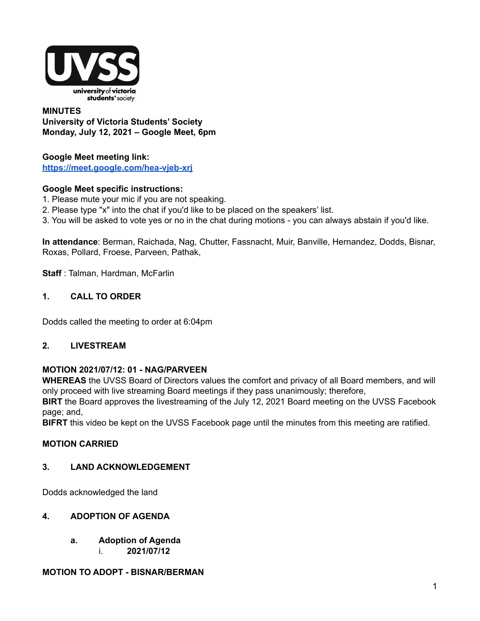

### **MINUTES University of Victoria Students' Society Monday, July 12, 2021 – Google Meet, 6pm**

### **Google Meet meeting link: <https://meet.google.com/hea-vjeb-xrj>**

### **Google Meet specific instructions:**

- 1. Please mute your mic if you are not speaking.
- 2. Please type "x" into the chat if you'd like to be placed on the speakers' list.
- 3. You will be asked to vote yes or no in the chat during motions you can always abstain if you'd like.

**In attendance**: Berman, Raichada, Nag, Chutter, Fassnacht, Muir, Banville, Hernandez, Dodds, Bisnar, Roxas, Pollard, Froese, Parveen, Pathak,

**Staff** : Talman, Hardman, McFarlin

**1. CALL TO ORDER**

Dodds called the meeting to order at 6:04pm

### **2. LIVESTREAM**

### **MOTION 2021/07/12: 01 - NAG/PARVEEN**

**WHEREAS** the UVSS Board of Directors values the comfort and privacy of all Board members, and will only proceed with live streaming Board meetings if they pass unanimously; therefore,

**BIRT** the Board approves the livestreaming of the July 12, 2021 Board meeting on the UVSS Facebook page; and,

**BIFRT** this video be kept on the UVSS Facebook page until the minutes from this meeting are ratified.

## **MOTION CARRIED**

### **3. LAND ACKNOWLEDGEMENT**

Dodds acknowledged the land

### **4. ADOPTION OF AGENDA**

**a. Adoption of Agenda** i. **2021/07/12**

### **MOTION TO ADOPT - BISNAR/BERMAN**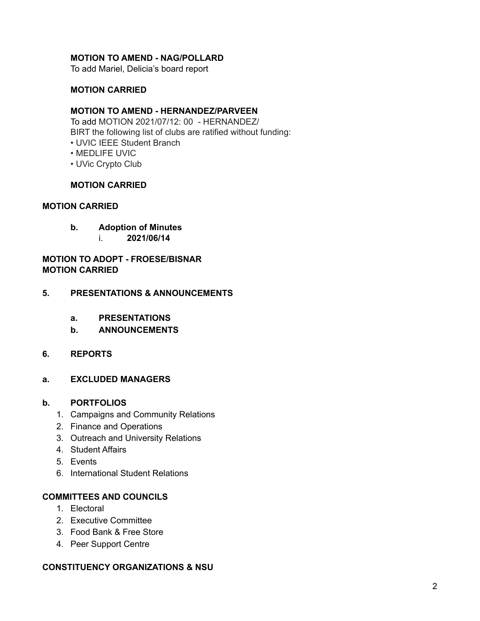### **MOTION TO AMEND - NAG/POLLARD**

To add Mariel, Delicia's board report

### **MOTION CARRIED**

### **MOTION TO AMEND - HERNANDEZ/PARVEEN**

To add MOTION 2021/07/12: 00 - HERNANDEZ/ BIRT the following list of clubs are ratified without funding: • UVIC IEEE Student Branch

- MEDLIFE UVIC
- UVic Crypto Club

### **MOTION CARRIED**

### **MOTION CARRIED**

- **b. Adoption of Minutes**
	- i. **2021/06/14**

**MOTION TO ADOPT - FROESE/BISNAR MOTION CARRIED**

### **5. PRESENTATIONS & ANNOUNCEMENTS**

- **a. PRESENTATIONS**
- **b. ANNOUNCEMENTS**
- **6. REPORTS**
- **a. EXCLUDED MANAGERS**

### **b. PORTFOLIOS**

- 1. Campaigns and Community Relations
- 2. Finance and Operations
- 3. Outreach and University Relations
- 4. Student Affairs
- 5. Events
- 6. International Student Relations

### **COMMITTEES AND COUNCILS**

- 1. Electoral
- 2. Executive Committee
- 3. Food Bank & Free Store
- 4. Peer Support Centre

### **CONSTITUENCY ORGANIZATIONS & NSU**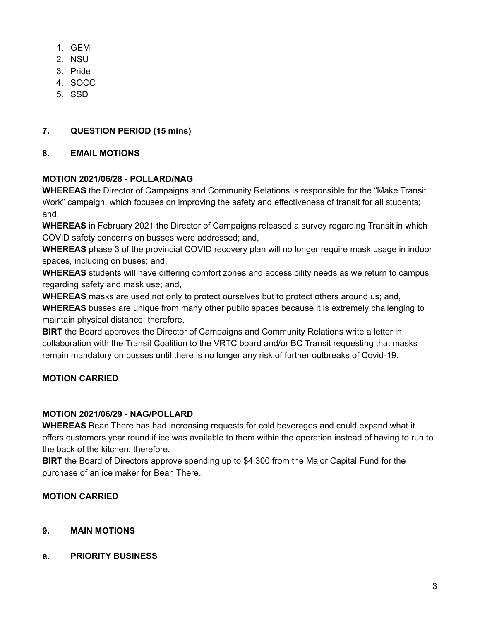- 1. GEM
- 2. NSU
- 3. Pride
- 4. SOCC
- 5. SSD

# **7. QUESTION PERIOD (15 mins)**

# **8. EMAIL MOTIONS**

# **MOTION 2021/06/28 - POLLARD/NAG**

**WHEREAS** the Director of Campaigns and Community Relations is responsible for the "Make Transit Work" campaign, which focuses on improving the safety and effectiveness of transit for all students; and,

**WHEREAS** in February 2021 the Director of Campaigns released a survey regarding Transit in which COVID safety concerns on busses were addressed; and,

**WHEREAS** phase 3 of the provincial COVID recovery plan will no longer require mask usage in indoor spaces, including on buses; and,

**WHEREAS** students will have differing comfort zones and accessibility needs as we return to campus regarding safety and mask use; and,

**WHEREAS** masks are used not only to protect ourselves but to protect others around us; and, **WHEREAS** busses are unique from many other public spaces because it is extremely challenging to

maintain physical distance; therefore,

**BIRT** the Board approves the Director of Campaigns and Community Relations write a letter in collaboration with the Transit Coalition to the VRTC board and/or BC Transit requesting that masks remain mandatory on busses until there is no longer any risk of further outbreaks of Covid-19.

# **MOTION CARRIED**

## **MOTION 2021/06/29 - NAG/POLLARD**

**WHEREAS** Bean There has had increasing requests for cold beverages and could expand what it offers customers year round if ice was available to them within the operation instead of having to run to the back of the kitchen; therefore,

**BIRT** the Board of Directors approve spending up to \$4,300 from the Major Capital Fund for the purchase of an ice maker for Bean There.

## **MOTION CARRIED**

## **9. MAIN MOTIONS**

## **a. PRIORITY BUSINESS**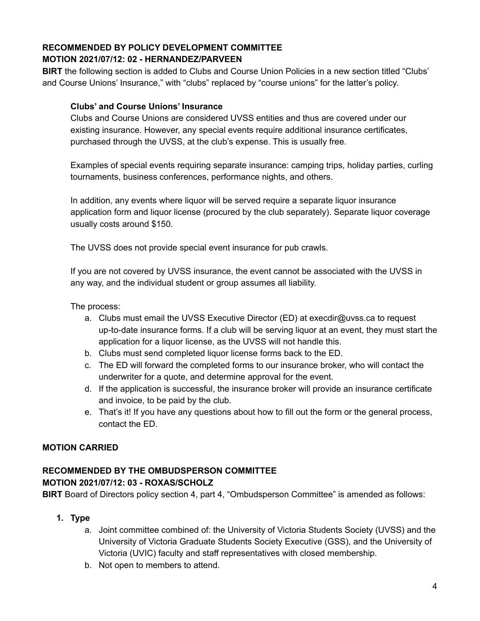# **RECOMMENDED BY POLICY DEVELOPMENT COMMITTEE MOTION 2021/07/12: 02 - HERNANDEZ/PARVEEN**

**BIRT** the following section is added to Clubs and Course Union Policies in a new section titled "Clubs' and Course Unions' Insurance," with "clubs" replaced by "course unions" for the latter's policy.

# **Clubs' and Course Unions' Insurance**

Clubs and Course Unions are considered UVSS entities and thus are covered under our existing insurance. However, any special events require additional insurance certificates, purchased through the UVSS, at the club's expense. This is usually free.

Examples of special events requiring separate insurance: camping trips, holiday parties, curling tournaments, business conferences, performance nights, and others.

In addition, any events where liquor will be served require a separate liquor insurance application form and liquor license (procured by the club separately). Separate liquor coverage usually costs around \$150.

The UVSS does not provide special event insurance for pub crawls.

If you are not covered by UVSS insurance, the event cannot be associated with the UVSS in any way, and the individual student or group assumes all liability.

The process:

- a. Clubs must email the UVSS Executive Director (ED) at execdir@uvss.ca to request up-to-date insurance forms. If a club will be serving liquor at an event, they must start the application for a liquor license, as the UVSS will not handle this.
- b. Clubs must send completed liquor license forms back to the ED.
- c. The ED will forward the completed forms to our insurance broker, who will contact the underwriter for a quote, and determine approval for the event.
- d. If the application is successful, the insurance broker will provide an insurance certificate and invoice, to be paid by the club.
- e. That's it! If you have any questions about how to fill out the form or the general process, contact the ED.

## **MOTION CARRIED**

## **RECOMMENDED BY THE OMBUDSPERSON COMMITTEE MOTION 2021/07/12: 03 - ROXAS/SCHOLZ**

**BIRT** Board of Directors policy section 4, part 4, "Ombudsperson Committee" is amended as follows:

- **1. Type**
	- a. Joint committee combined of: the University of Victoria Students Society (UVSS) and the University of Victoria Graduate Students Society Executive (GSS), and the University of Victoria (UVIC) faculty and staff representatives with closed membership.
	- b. Not open to members to attend.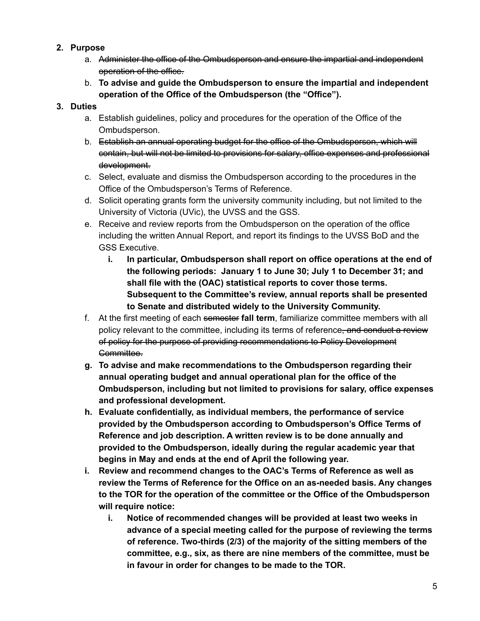- **2. Purpose**
	- a. Administer the office of the Ombudsperson and ensure the impartial and independent operation of the office.
	- b. **To advise and guide the Ombudsperson to ensure the impartial and independent operation of the Office of the Ombudsperson (the "Office").**

# **3. Duties**

- a. Establish guidelines, policy and procedures for the operation of the Office of the Ombudsperson.
- b. Establish an annual operating budget for the office of the Ombudsperson, which will contain, but will not be limited to provisions for salary, office expenses and professional development.
- c. Select, evaluate and dismiss the Ombudsperson according to the procedures in the Office of the Ombudsperson's Terms of Reference.
- d. Solicit operating grants form the university community including, but not limited to the University of Victoria (UVic), the UVSS and the GSS.
- e. Receive and review reports from the Ombudsperson on the operation of the office including the written Annual Report, and report its findings to the UVSS BoD and the GSS Executive.
	- **i. In particular, Ombudsperson shall report on office operations at the end of the following periods: January 1 to June 30; July 1 to December 31; and shall file with the (OAC) statistical reports to cover those terms. Subsequent to the Committee's review, annual reports shall be presented to Senate and distributed widely to the University Community.**
- f. At the first meeting of each semester **fall term**, familiarize committee members with all policy relevant to the committee, including its terms of reference, and conduct a review of policy for the purpose of providing recommendations to Policy Development Committee.
- **g. To advise and make recommendations to the Ombudsperson regarding their annual operating budget and annual operational plan for the office of the Ombudsperson, including but not limited to provisions for salary, office expenses and professional development.**
- **h. Evaluate confidentially, as individual members, the performance of service provided by the Ombudsperson according to Ombudsperson's Office Terms of Reference and job description. A written review is to be done annually and provided to the Ombudsperson, ideally during the regular academic year that begins in May and ends at the end of April the following year.**
- **i. Review and recommend changes to the OAC's Terms of Reference as well as review the Terms of Reference for the Office on an as-needed basis. Any changes to the TOR for the operation of the committee or the Office of the Ombudsperson will require notice:**
	- **i. Notice of recommended changes will be provided at least two weeks in advance of a special meeting called for the purpose of reviewing the terms of reference. Two-thirds (2/3) of the majority of the sitting members of the committee, e.g., six, as there are nine members of the committee, must be in favour in order for changes to be made to the TOR.**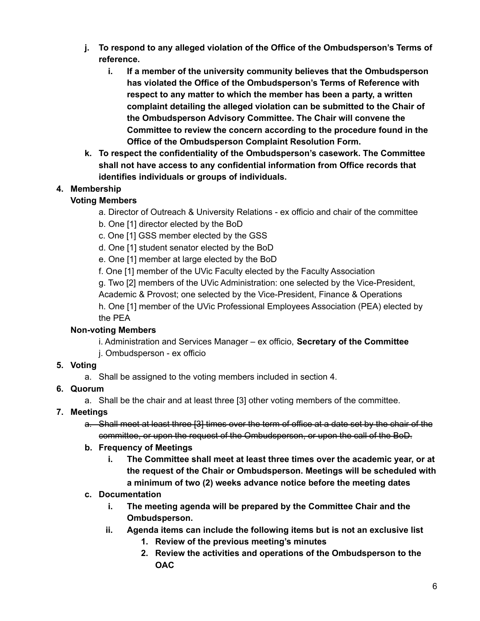- **j. To respond to any alleged violation of the Office of the Ombudsperson's Terms of reference.**
	- **i. If a member of the university community believes that the Ombudsperson has violated the Office of the Ombudsperson's Terms of Reference with respect to any matter to which the member has been a party, a written complaint detailing the alleged violation can be submitted to the Chair of the Ombudsperson Advisory Committee. The Chair will convene the Committee to review the concern according to the procedure found in the Office of the Ombudsperson Complaint Resolution Form.**
- **k. To respect the confidentiality of the Ombudsperson's casework. The Committee shall not have access to any confidential information from Office records that identifies individuals or groups of individuals.**

# **4. Membership**

# **Voting Members**

- a. Director of Outreach & University Relations ex officio and chair of the committee
- b. One [1] director elected by the BoD
- c. One [1] GSS member elected by the GSS
- d. One [1] student senator elected by the BoD
- e. One [1] member at large elected by the BoD
- f. One [1] member of the UVic Faculty elected by the Faculty Association
- g. Two [2] members of the UVic Administration: one selected by the Vice-President, Academic & Provost; one selected by the Vice-President, Finance & Operations h. One [1] member of the UVic Professional Employees Association (PEA) elected by
- the PEA

# **Non-voting Members**

i. Administration and Services Manager – ex officio, **Secretary of the Committee** j. Ombudsperson - ex officio

## **5. Voting**

a. Shall be assigned to the voting members included in section 4.

# **6. Quorum**

a. Shall be the chair and at least three [3] other voting members of the committee.

# **7. Meetings**

a. Shall meet at least three [3] times over the term of office at a date set by the chair of the committee, or upon the request of the Ombudsperson, or upon the call of the BoD.

## **b. Frequency of Meetings**

**i. The Committee shall meet at least three times over the academic year, or at the request of the Chair or Ombudsperson. Meetings will be scheduled with a minimum of two (2) weeks advance notice before the meeting dates**

# **c. Documentation**

- **i. The meeting agenda will be prepared by the Committee Chair and the Ombudsperson.**
- **ii. Agenda items can include the following items but is not an exclusive list**
	- **1. Review of the previous meeting's minutes**
	- **2. Review the activities and operations of the Ombudsperson to the OAC**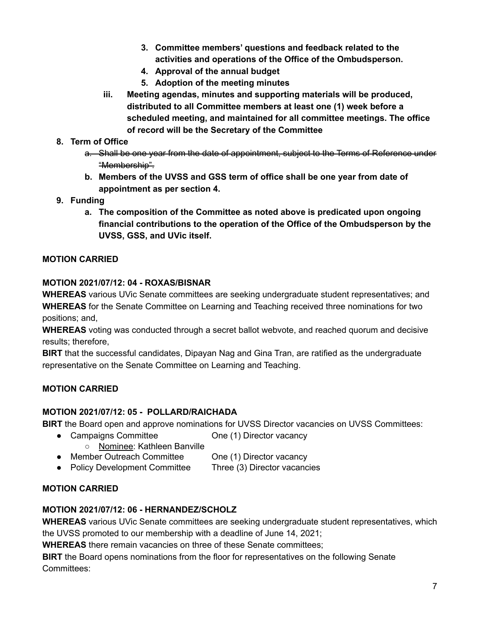- **3. Committee members' questions and feedback related to the activities and operations of the Office of the Ombudsperson.**
- **4. Approval of the annual budget**
- **5. Adoption of the meeting minutes**
- **iii. Meeting agendas, minutes and supporting materials will be produced, distributed to all Committee members at least one (1) week before a scheduled meeting, and maintained for all committee meetings. The office of record will be the Secretary of the Committee**
- **8. Term of Office**
	- a. Shall be one year from the date of appointment, subject to the Terms of Reference under "Membership".
	- **b. Members of the UVSS and GSS term of office shall be one year from date of appointment as per section 4.**
- **9. Funding**
	- **a. The composition of the Committee as noted above is predicated upon ongoing financial contributions to the operation of the Office of the Ombudsperson by the UVSS, GSS, and UVic itself.**

## **MOTION CARRIED**

### **MOTION 2021/07/12: 04 - ROXAS/BISNAR**

**WHEREAS** various UVic Senate committees are seeking undergraduate student representatives; and **WHEREAS** for the Senate Committee on Learning and Teaching received three nominations for two positions; and,

**WHEREAS** voting was conducted through a secret ballot webvote, and reached quorum and decisive results; therefore,

**BIRT** that the successful candidates, Dipayan Nag and Gina Tran, are ratified as the undergraduate representative on the Senate Committee on Learning and Teaching.

## **MOTION CARRIED**

## **MOTION 2021/07/12: 05 - POLLARD/RAICHADA**

**BIRT** the Board open and approve nominations for UVSS Director vacancies on UVSS Committees:

- Campaigns Committee **One (1) Director vacancy** 
	- Nominee: Kathleen Banville
- Member Outreach Committee One (1) Director vacancy
- Policy Development Committee Three (3) Director vacancies

## **MOTION CARRIED**

## **MOTION 2021/07/12: 06 - HERNANDEZ/SCHOLZ**

**WHEREAS** various UVic Senate committees are seeking undergraduate student representatives, which the UVSS promoted to our membership with a deadline of June 14, 2021;

**WHEREAS** there remain vacancies on three of these Senate committees;

**BIRT** the Board opens nominations from the floor for representatives on the following Senate Committees: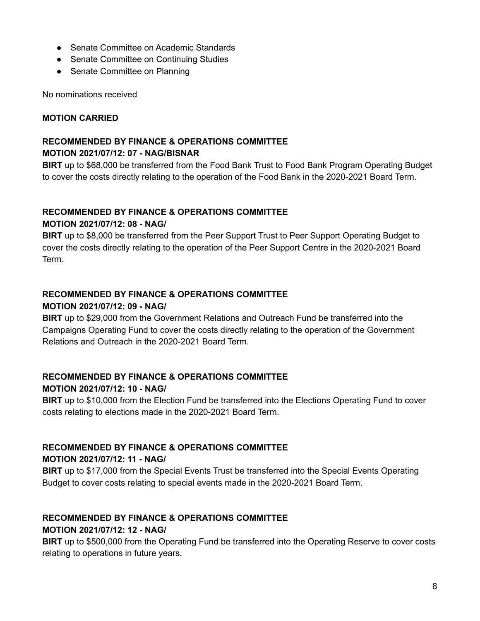- Senate Committee on Academic Standards
- Senate Committee on Continuing Studies
- Senate Committee on Planning

No nominations received

### **MOTION CARRIED**

## **RECOMMENDED BY FINANCE & OPERATIONS COMMITTEE MOTION 2021/07/12: 07 - NAG/BISNAR**

**BIRT** up to \$68,000 be transferred from the Food Bank Trust to Food Bank Program Operating Budget to cover the costs directly relating to the operation of the Food Bank in the 2020-2021 Board Term.

# **RECOMMENDED BY FINANCE & OPERATIONS COMMITTEE**

# **MOTION 2021/07/12: 08 - NAG/**

**BIRT** up to \$8,000 be transferred from the Peer Support Trust to Peer Support Operating Budget to cover the costs directly relating to the operation of the Peer Support Centre in the 2020-2021 Board Term.

### **RECOMMENDED BY FINANCE & OPERATIONS COMMITTEE**

### **MOTION 2021/07/12: 09 - NAG/**

**BIRT** up to \$29,000 from the Government Relations and Outreach Fund be transferred into the Campaigns Operating Fund to cover the costs directly relating to the operation of the Government Relations and Outreach in the 2020-2021 Board Term.

# **RECOMMENDED BY FINANCE & OPERATIONS COMMITTEE MOTION 2021/07/12: 10 - NAG/**

**BIRT** up to \$10,000 from the Election Fund be transferred into the Elections Operating Fund to cover costs relating to elections made in the 2020-2021 Board Term.

### **RECOMMENDED BY FINANCE & OPERATIONS COMMITTEE**

### **MOTION 2021/07/12: 11 - NAG/**

**BIRT** up to \$17,000 from the Special Events Trust be transferred into the Special Events Operating Budget to cover costs relating to special events made in the 2020-2021 Board Term.

## **RECOMMENDED BY FINANCE & OPERATIONS COMMITTEE**

### **MOTION 2021/07/12: 12 - NAG/**

**BIRT** up to \$500,000 from the Operating Fund be transferred into the Operating Reserve to cover costs relating to operations in future years.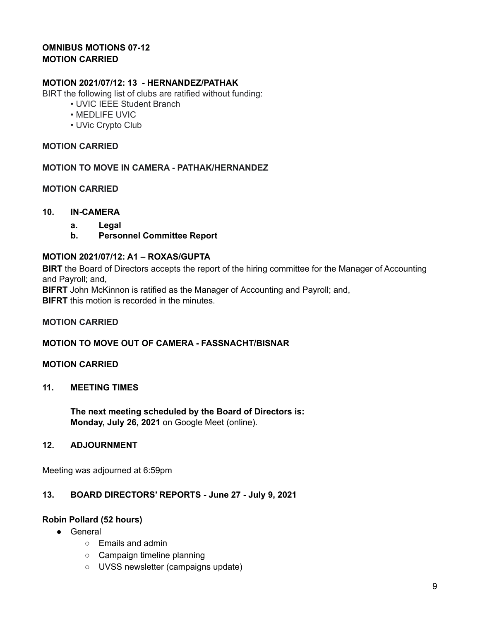### **OMNIBUS MOTIONS 07-12 MOTION CARRIED**

### **MOTION 2021/07/12: 13 - HERNANDEZ/PATHAK**

BIRT the following list of clubs are ratified without funding:

- UVIC IEEE Student Branch
- MEDLIFE UVIC
- UVic Crypto Club

### **MOTION CARRIED**

**MOTION TO MOVE IN CAMERA - PATHAK/HERNANDEZ**

### **MOTION CARRIED**

### **10. IN-CAMERA**

- **a. Legal**
- **b. Personnel Committee Report**

### **MOTION 2021/07/12: A1 – ROXAS/GUPTA**

**BIRT** the Board of Directors accepts the report of the hiring committee for the Manager of Accounting and Payroll; and,

**BIFRT** John McKinnon is ratified as the Manager of Accounting and Payroll; and,

**BIFRT** this motion is recorded in the minutes.

### **MOTION CARRIED**

### **MOTION TO MOVE OUT OF CAMERA - FASSNACHT/BISNAR**

### **MOTION CARRIED**

### **11. MEETING TIMES**

**The next meeting scheduled by the Board of Directors is: Monday, July 26, 2021** on Google Meet (online).

### **12. ADJOURNMENT**

Meeting was adjourned at 6:59pm

### **13. BOARD DIRECTORS' REPORTS - June 27 - July 9, 2021**

### **Robin Pollard (52 hours)**

- General
	- Emails and admin
	- Campaign timeline planning
	- UVSS newsletter (campaigns update)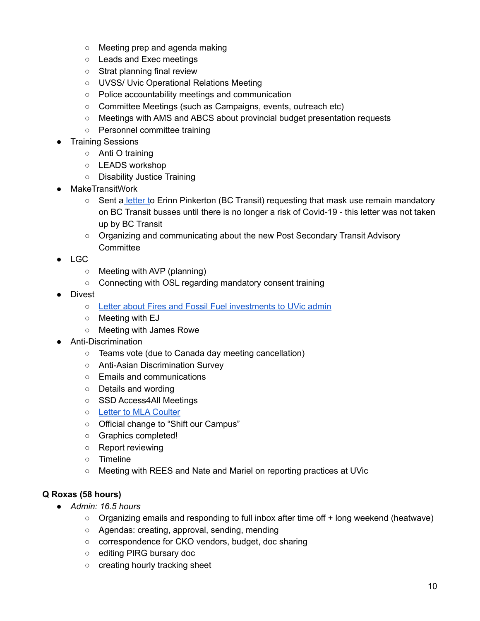- Meeting prep and agenda making
- Leads and Exec meetings
- Strat planning final review
- UVSS/ Uvic Operational Relations Meeting
- Police accountability meetings and communication
- Committee Meetings (such as Campaigns, events, outreach etc)
- Meetings with AMS and ABCS about provincial budget presentation requests
- Personnel committee training
- **Training Sessions** 
	- Anti O training
	- LEADS workshop
	- Disability Justice Training
- **MakeTransitWork** 
	- Sent a [letter](https://docs.google.com/document/d/1U_7XoMSvcLo1lDMtNnKowMBQImV4xT3z3co21k3Xl1s/edit) to Erinn Pinkerton (BC Transit) requesting that mask use remain mandatory on BC Transit busses until there is no longer a risk of Covid-19 - this letter was not taken up by BC Transit
	- Organizing and communicating about the new Post Secondary Transit Advisory **Committee**
- LGC
	- Meeting with AVP (planning)
	- Connecting with OSL regarding mandatory consent training
- Divest
	- Letter about Fires and Fossil Fuel [investments](https://docs.google.com/document/d/1sKSuTKNleFY8K6QopLRVjNe7UIF0g7tImiaTWg9m-Os/edit?fbclid=IwAR0OiF3J2Uq0XSokAftJG-bA5xuj9w1qWBEaVINMNjsWLQr1rMTvSLOIHpg) to UVic admin
	- Meeting with EJ
	- Meeting with James Rowe
- Anti-Discrimination
	- Teams vote (due to Canada day meeting cancellation)
	- Anti-Asian Discrimination Survey
	- Emails and communications
	- Details and wording
	- SSD Access4All Meetings
	- Letter to MLA [Coulter](https://docs.google.com/document/d/1pQ0LCwyOmdhsp3Urgs7DMIP0uvhXxiZZ0i9WYuLwp1c/edit)
	- Official change to "Shift our Campus"
	- Graphics completed!
	- Report reviewing
	- Timeline
	- Meeting with REES and Nate and Mariel on reporting practices at UVic

## **Q Roxas (58 hours)**

- *● Admin: 16.5 hours*
	- Organizing emails and responding to full inbox after time off + long weekend (heatwave)
	- Agendas: creating, approval, sending, mending
	- correspondence for CKO vendors, budget, doc sharing
	- editing PIRG bursary doc
	- creating hourly tracking sheet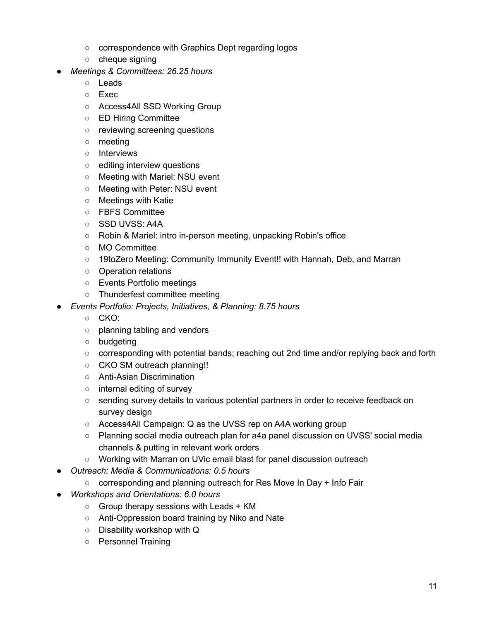- correspondence with Graphics Dept regarding logos
- cheque signing
- *● Meetings & Committees: 26.25 hours*
	- Leads
	- Exec
	- Access4All SSD Working Group
	- ED Hiring Committee
	- reviewing screening questions
	- meeting
	- Interviews
	- editing interview questions
	- Meeting with Mariel: NSU event
	- Meeting with Peter: NSU event
	- Meetings with Katie
	- FBFS Committee
	- SSD UVSS: A4A
	- Robin & Mariel: intro in-person meeting, unpacking Robin's office
	- MO Committee
	- 19toZero Meeting: Community Immunity Event!! with Hannah, Deb, and Marran
	- Operation relations
	- Events Portfolio meetings
	- Thunderfest committee meeting
- *● Events Portfolio: Projects, Initiatives, & Planning: 8.75 hours*
	- CKO:
	- planning tabling and vendors
	- budgeting
	- corresponding with potential bands; reaching out 2nd time and/or replying back and forth
	- CKO SM outreach planning!!
	- Anti-Asian Discrimination
	- internal editing of survey
	- sending survey details to various potential partners in order to receive feedback on survey design
	- Access4All Campaign: Q as the UVSS rep on A4A working group
	- Planning social media outreach plan for a4a panel discussion on UVSS' social media channels & putting in relevant work orders
	- Working with Marran on UVic email blast for panel discussion outreach
- *● Outreach: Media & Communications: 0.5 hours*
	- corresponding and planning outreach for Res Move In Day + Info Fair
- *● Workshops and Orientations: 6.0 hours*
	- $\circ$  Group therapy sessions with Leads + KM
	- Anti-Oppression board training by Niko and Nate
	- Disability workshop with Q
	- Personnel Training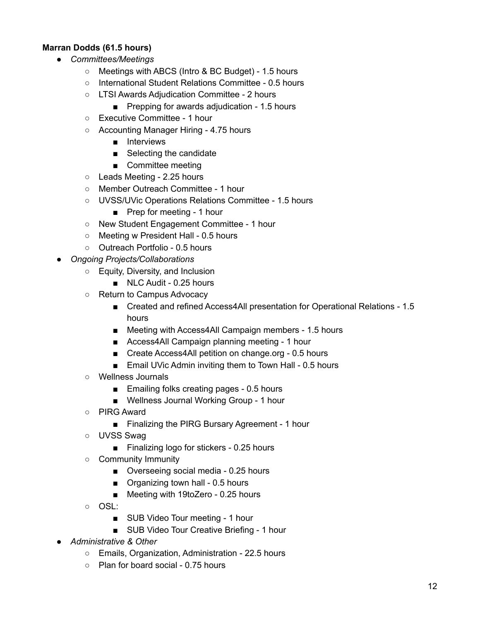# **Marran Dodds (61.5 hours)**

- *● Committees/Meetings*
	- Meetings with ABCS (Intro & BC Budget) 1.5 hours
	- International Student Relations Committee 0.5 hours
	- LTSI Awards Adjudication Committee 2 hours
		- Prepping for awards adjudication 1.5 hours
	- Executive Committee 1 hour
	- Accounting Manager Hiring 4.75 hours
		- Interviews
		- Selecting the candidate
		- Committee meeting
	- Leads Meeting 2.25 hours
	- Member Outreach Committee 1 hour
	- UVSS/UVic Operations Relations Committee 1.5 hours
		- Prep for meeting 1 hour
	- New Student Engagement Committee 1 hour
	- Meeting w President Hall 0.5 hours
	- Outreach Portfolio 0.5 hours
- *Ongoing Projects/Collaborations*
	- Equity, Diversity, and Inclusion
		- NLC Audit 0.25 hours
	- Return to Campus Advocacy
		- Created and refined Access4All presentation for Operational Relations 1.5 hours
		- Meeting with Access4All Campaign members 1.5 hours
		- Access4All Campaign planning meeting 1 hour
		- Create Access4All petition on change.org 0.5 hours
		- Email UVic Admin inviting them to Town Hall 0.5 hours
	- Wellness Journals
		- Emailing folks creating pages 0.5 hours
		- Wellness Journal Working Group 1 hour
	- PIRG Award
		- Finalizing the PIRG Bursary Agreement 1 hour
	- UVSS Swag
		- Finalizing logo for stickers 0.25 hours
	- Community Immunity
		- Overseeing social media 0.25 hours
		- Organizing town hall 0.5 hours
		- Meeting with 19toZero 0.25 hours
	- OSL:
		- SUB Video Tour meeting 1 hour
		- SUB Video Tour Creative Briefing 1 hour
- *Administrative & Other*
	- Emails, Organization, Administration 22.5 hours
	- Plan for board social 0.75 hours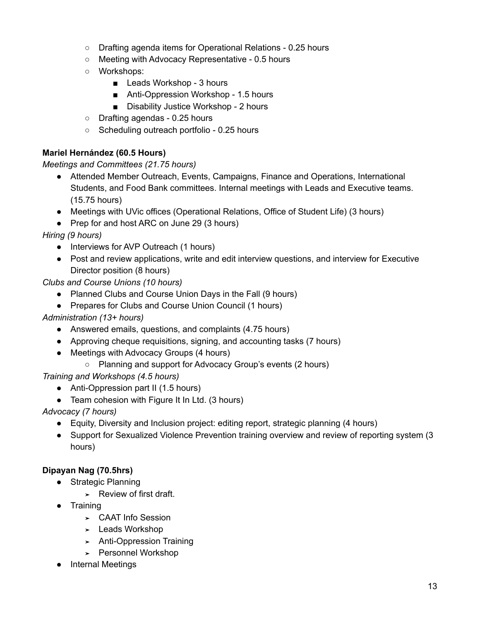- Drafting agenda items for Operational Relations 0.25 hours
- Meeting with Advocacy Representative 0.5 hours
- Workshops:
	- Leads Workshop 3 hours
	- Anti-Oppression Workshop 1.5 hours
	- Disability Justice Workshop 2 hours
- Drafting agendas 0.25 hours
- Scheduling outreach portfolio 0.25 hours

# **Mariel Hernández (60.5 Hours)**

*Meetings and Committees (21.75 hours)*

- Attended Member Outreach, Events, Campaigns, Finance and Operations, International Students, and Food Bank committees. Internal meetings with Leads and Executive teams. (15.75 hours)
- Meetings with UVic offices (Operational Relations, Office of Student Life) (3 hours)
- Prep for and host ARC on June 29 (3 hours)

*Hiring (9 hours)*

- Interviews for AVP Outreach (1 hours)
- Post and review applications, write and edit interview questions, and interview for Executive Director position (8 hours)

*Clubs and Course Unions (10 hours)*

- Planned Clubs and Course Union Days in the Fall (9 hours)
- Prepares for Clubs and Course Union Council (1 hours)

## *Administration (13+ hours)*

- Answered emails, questions, and complaints (4.75 hours)
- Approving cheque requisitions, signing, and accounting tasks (7 hours)
- Meetings with Advocacy Groups (4 hours)
	- Planning and support for Advocacy Group's events (2 hours)

*Training and Workshops (4.5 hours)*

- Anti-Oppression part II (1.5 hours)
- Team cohesion with Figure It In Ltd. (3 hours)

*Advocacy (7 hours)*

- Equity, Diversity and Inclusion project: editing report, strategic planning (4 hours)
- Support for Sexualized Violence Prevention training overview and review of reporting system (3 hours)

# **Dipayan Nag (70.5hrs)**

- Strategic Planning
	- ➤ Review of first draft.
- Training
	- ➤ CAAT Info Session
	- ➤ Leads Workshop
	- ➤ Anti-Oppression Training
	- ➤ Personnel Workshop
- **Internal Meetings**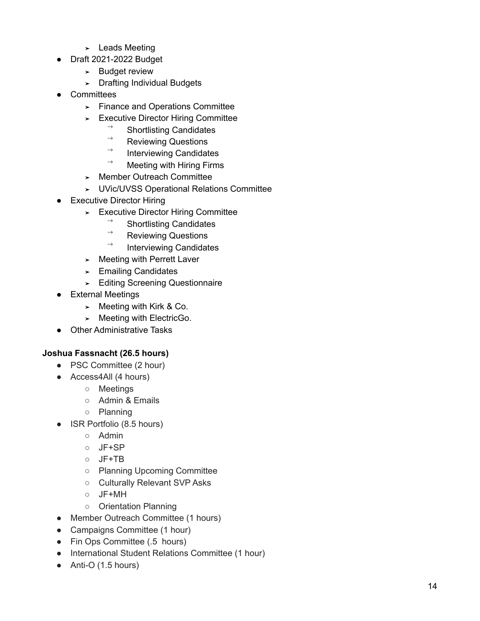- > Leads Meeting
- Draft 2021-2022 Budget
	- > Budget review
	- > Drafting Individual Budgets
- Committees
	- > Finance and Operations Committee
	- > Executive Director Hiring Committee
		- Shortlisting Candidates
		- $\rightarrow$ Reviewing Questions
		- Interviewing Candidates
		- Meeting with Hiring Firms
	- > Member Outreach Committee
	- > UVic/UVSS Operational Relations Committee
- $\bullet$ Executive Director Hiring
	- > Executive Director Hiring Committee
		- Shortlisting Candidates
		- Reviewing Questions
		- Interviewing Candidates
	- > Meeting with Perrett Laver
	- > Emailing Candidates
	- > Editing Screening Questionnaire
- External Meetings
	- > Meeting with Kirk & Co.
	- ➤ Meeting with ElectricGo.
- Other Administrative Tasks

### Joshua Fassnacht (26.5 hours)

- PSC Committee (2 hour)
- Access4All (4 hours)
	- o Meetings
	- Admin & Emails
	- o Planning
- ISR Portfolio (8.5 hours)
	- Admin
	- JF+SP
	- JF+TB
	- o Planning Upcoming Committee
	- o Culturally Relevant SVP Asks
	- JF+MH
	- o Orientation Planning
- Member Outreach Committee (1 hours)
- Campaigns Committee (1 hour)
- Fin Ops Committee (.5 hours)
- International Student Relations Committee (1 hour)
- $\bullet$  Anti-O (1.5 hours)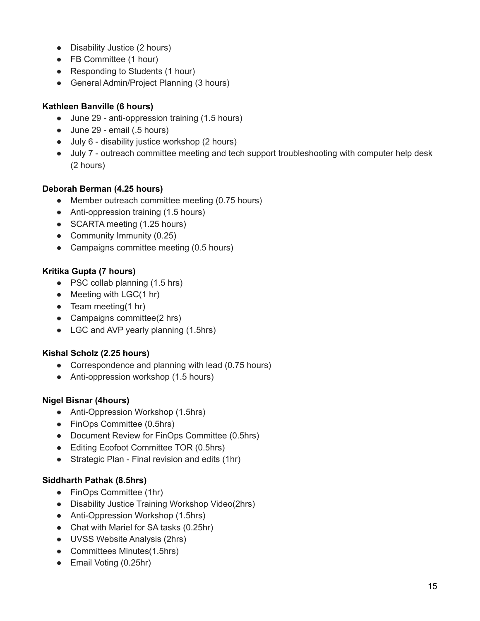- Disability Justice (2 hours)
- FB Committee (1 hour)
- Responding to Students (1 hour)
- General Admin/Project Planning (3 hours)

# **Kathleen Banville (6 hours)**

- June 29 anti-oppression training (1.5 hours)
- June 29 email (.5 hours)
- July 6 disability justice workshop (2 hours)
- July 7 outreach committee meeting and tech support troubleshooting with computer help desk (2 hours)

# **Deborah Berman (4.25 hours)**

- Member outreach committee meeting (0.75 hours)
- Anti-oppression training (1.5 hours)
- SCARTA meeting (1.25 hours)
- Community Immunity (0.25)
- Campaigns committee meeting (0.5 hours)

# **Kritika Gupta (7 hours)**

- PSC collab planning (1.5 hrs)
- $\bullet$  Meeting with LGC(1 hr)
- $\bullet$  Team meeting(1 hr)
- Campaigns committee(2 hrs)
- LGC and AVP yearly planning (1.5hrs)

## **Kishal Scholz (2.25 hours)**

- Correspondence and planning with lead (0.75 hours)
- Anti-oppression workshop (1.5 hours)

## **Nigel Bisnar (4hours)**

- Anti-Oppression Workshop (1.5hrs)
- FinOps Committee (0.5hrs)
- Document Review for FinOps Committee (0.5hrs)
- Editing Ecofoot Committee TOR (0.5hrs)
- Strategic Plan Final revision and edits (1hr)

## **Siddharth Pathak (8.5hrs)**

- FinOps Committee (1hr)
- Disability Justice Training Workshop Video(2hrs)
- Anti-Oppression Workshop (1.5hrs)
- Chat with Mariel for SA tasks (0.25hr)
- UVSS Website Analysis (2hrs)
- Committees Minutes(1.5hrs)
- Email Voting (0.25hr)